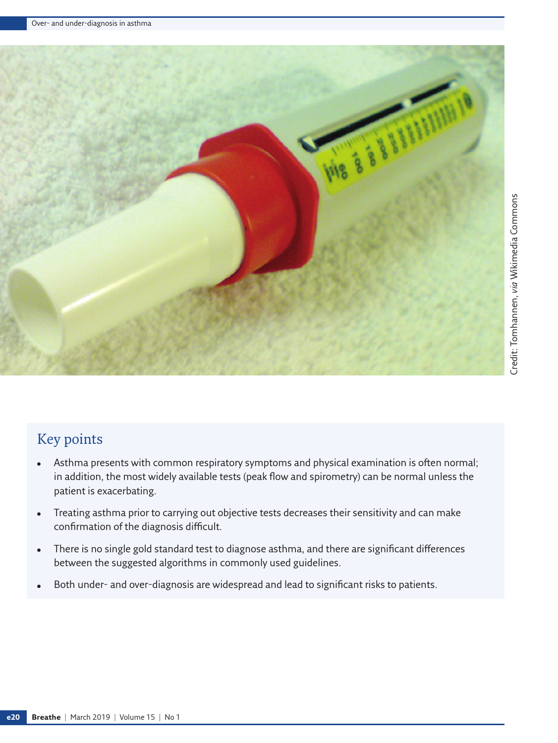

# Key points

- Asthma presents with common respiratory symptoms and physical examination is often normal; in addition, the most widely available tests (peak flow and spirometry) can be normal unless the patient is exacerbating.
- Treating asthma prior to carrying out objective tests decreases their sensitivity and can make confirmation of the diagnosis difficult.
- There is no single gold standard test to diagnose asthma, and there are significant differences between the suggested algorithms in commonly used guidelines.
- Both under- and over-diagnosis are widespread and lead to significant risks to patients.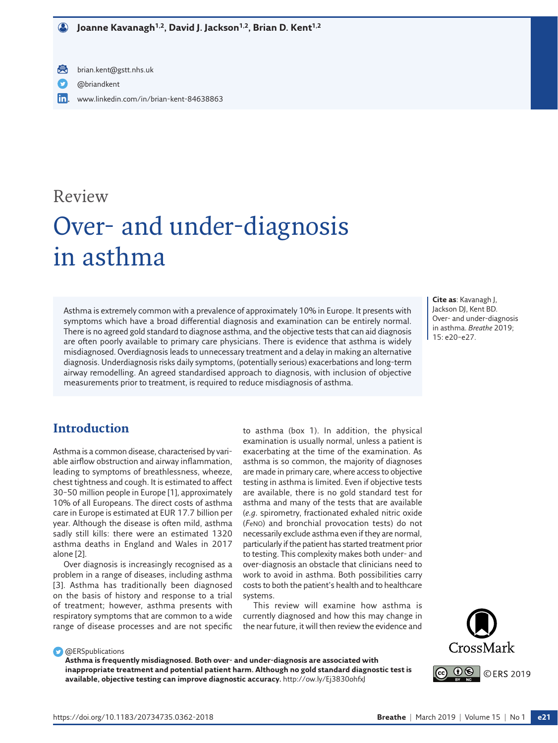- 員 brian.kent@gstt.nhs.uk
- [@briandkent](https://twitter.com/briandkent)
- lin. [www.linkedin.com/in/brian-kent-84638863](http://www.linkedin.com/in/brian-kent-84638863)

# Review

# Over- and under-diagnosis in asthma

Asthma is extremely common with a prevalence of approximately 10% in Europe. It presents with symptoms which have a broad differential diagnosis and examination can be entirely normal. There is no agreed gold standard to diagnose asthma, and the objective tests that can aid diagnosis are often poorly available to primary care physicians. There is evidence that asthma is widely misdiagnosed. Overdiagnosis leads to unnecessary treatment and a delay in making an alternative diagnosis. Underdiagnosis risks daily symptoms, (potentially serious) exacerbations and long-term airway remodelling. An agreed standardised approach to diagnosis, with inclusion of objective measurements prior to treatment, is required to reduce misdiagnosis of asthma.

**Cite as**: Kavanagh J, Jackson DJ, Kent BD. Over- and under-diagnosis in asthma. *Breathe* 2019; 15: e20–e27.

## **Introduction**

Asthma is a common disease, characterised by variable airflow obstruction and airway inflammation, leading to symptoms of breathlessness, wheeze, chest tightness and cough. It is estimated to affect 30–50 million people in Europe [1], approximately 10% of all Europeans. The direct costs of asthma care in Europe is estimated at EUR 17.7 billion per year. Although the disease is often mild, asthma sadly still kills: there were an estimated 1320 asthma deaths in England and Wales in 2017 alone [2].

Over diagnosis is increasingly recognised as a problem in a range of diseases, including asthma [3]. Asthma has traditionally been diagnosed on the basis of history and response to a trial of treatment; however, asthma presents with respiratory symptoms that are common to a wide range of disease processes and are not specific to asthma (box 1). In addition, the physical examination is usually normal, unless a patient is exacerbating at the time of the examination. As asthma is so common, the majority of diagnoses are made in primary care, where access to objective testing in asthma is limited. Even if objective tests are available, there is no gold standard test for asthma and many of the tests that are available (*e.g.* spirometry, fractionated exhaled nitric oxide (*F*eNO) and bronchial provocation tests) do not necessarily exclude asthma even if they are normal, particularly if the patient has started treatment prior to testing. This complexity makes both under- and over-diagnosis an obstacle that clinicians need to work to avoid in asthma. Both possibilities carry costs to both the patient's health and to healthcare systems.

This review will examine how asthma is currently diagnosed and how this may change in the near future, it will then review the evidence and



**C** @ERSpublications

**Asthma is frequently misdiagnosed. Both over- and under-diagnosis are associated with inappropriate treatment and potential patient harm. Although no gold standard diagnostic test is available, objective testing can improve diagnostic accuracy.**<http://ow.ly/Ej3830ohfxJ>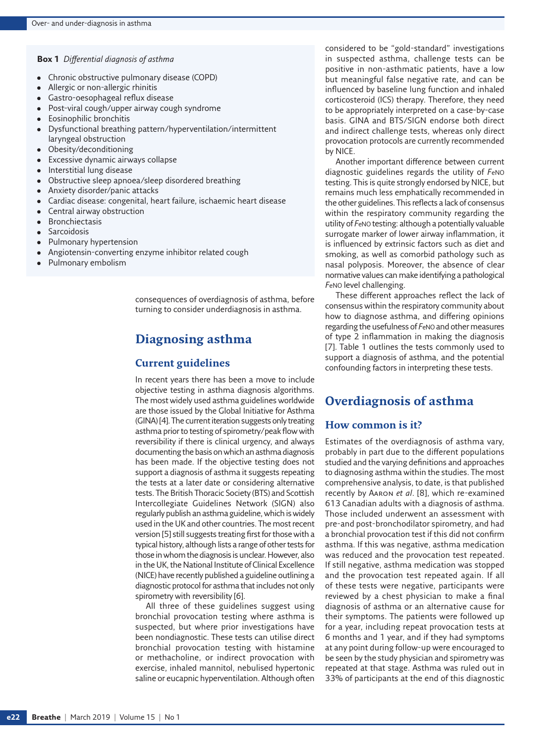#### **Box 1** *Differential diagnosis of asthma*

- Chronic obstructive pulmonary disease (COPD)
- Allergic or non-allergic rhinitis
- Gastro-oesophageal reflux disease
- Post-viral cough/upper airway cough syndrome
- **Eosinophilic bronchitis**
- Dysfunctional breathing pattern/hyperventilation/intermittent laryngeal obstruction
- Obesity/deconditioning
- **Excessive dynamic airways collapse**
- Interstitial lung disease
- Obstructive sleep apnoea/sleep disordered breathing
- Anxiety disorder/panic attacks
- Cardiac disease: congenital, heart failure, ischaemic heart disease
- Central airway obstruction
- **Bronchiectasis**
- Sarcoidosis
- Pulmonary hypertension
- Angiotensin-converting enzyme inhibitor related cough
- Pulmonary embolism

consequences of overdiagnosis of asthma, before turning to consider underdiagnosis in asthma.

# **Diagnosing asthma**

## **Current guidelines**

In recent years there has been a move to include objective testing in asthma diagnosis algorithms. The most widely used asthma guidelines worldwide are those issued by the Global Initiative for Asthma (GINA) [4]. The current iteration suggests only treating asthma prior to testing of spirometry/peak flow with reversibility if there is clinical urgency, and always documenting the basis on which an asthma diagnosis has been made. If the objective testing does not support a diagnosis of asthma it suggests repeating the tests at a later date or considering alternative tests. The British Thoracic Society (BTS) and Scottish Intercollegiate Guidelines Network (SIGN) also regularly publish an asthma guideline, which is widely used in the UK and other countries. The most recent version [5] still suggests treating first for those with a typical history, although lists a range of other tests for those in whom the diagnosis is unclear. However, also in the UK, the National Institute of Clinical Excellence (NICE) have recently published a guideline outlining a diagnostic protocol for asthma that includes not only spirometry with reversibility [6].

All three of these guidelines suggest using bronchial provocation testing where asthma is suspected, but where prior investigations have been nondiagnostic. These tests can utilise direct bronchial provocation testing with histamine or methacholine, or indirect provocation with exercise, inhaled mannitol, nebulised hypertonic saline or eucapnic hyperventilation. Although often

considered to be "gold-standard" investigations in suspected asthma, challenge tests can be positive in non-asthmatic patients, have a low but meaningful false negative rate, and can be influenced by baseline lung function and inhaled corticosteroid (ICS) therapy. Therefore, they need to be appropriately interpreted on a case-by-case basis. GINA and BTS/SIGN endorse both direct and indirect challenge tests, whereas only direct provocation protocols are currently recommended by NICE.

Another important difference between current diagnostic guidelines regards the utility of *F*eNO testing. This is quite strongly endorsed by NICE, but remains much less emphatically recommended in the other guidelines. This reflects a lack of consensus within the respiratory community regarding the utility of *F*eNO testing: although a potentially valuable surrogate marker of lower airway inflammation, it is influenced by extrinsic factors such as diet and smoking, as well as comorbid pathology such as nasal polyposis. Moreover, the absence of clear normative values can make identifying a pathological *F*eNO level challenging.

These different approaches reflect the lack of consensus within the respiratory community about how to diagnose asthma, and differing opinions regarding the usefulness of *F*eNO and other measures of type 2 inflammation in making the diagnosis [7]. [Table 1](#page-3-0) outlines the tests commonly used to support a diagnosis of asthma, and the potential confounding factors in interpreting these tests.

## **Overdiagnosis of asthma**

#### **How common is it?**

Estimates of the overdiagnosis of asthma vary, probably in part due to the different populations studied and the varying definitions and approaches to diagnosing asthma within the studies. The most comprehensive analysis, to date, is that published recently by Aaron *et al*. [8], which re-examined 613 Canadian adults with a diagnosis of asthma. Those included underwent an assessment with pre-and post-bronchodilator spirometry, and had a bronchial provocation test if this did not confirm asthma. If this was negative, asthma medication was reduced and the provocation test repeated. If still negative, asthma medication was stopped and the provocation test repeated again. If all of these tests were negative, participants were reviewed by a chest physician to make a final diagnosis of asthma or an alternative cause for their symptoms. The patients were followed up for a year, including repeat provocation tests at 6 months and 1 year, and if they had symptoms at any point during follow-up were encouraged to be seen by the study physician and spirometry was repeated at that stage. Asthma was ruled out in 33% of participants at the end of this diagnostic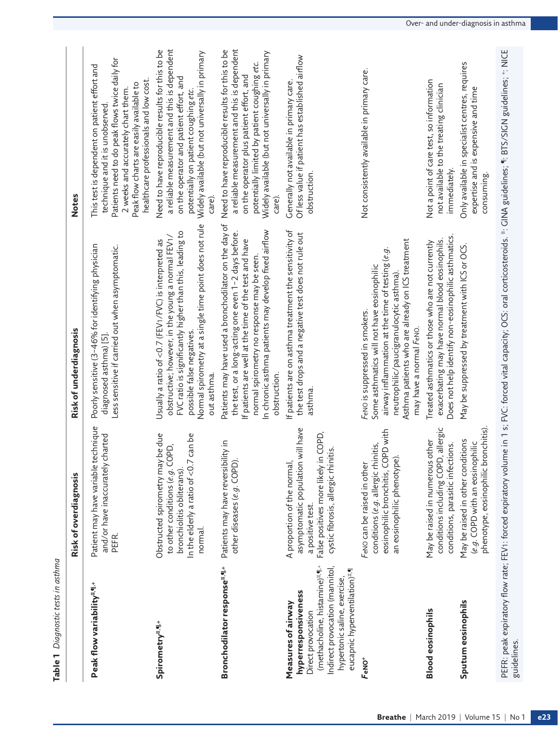<span id="page-3-0"></span>

| מל לי מ                  |
|--------------------------|
| 2                        |
| ׆<br>הרש<br>؛<br>n n n n |
|                          |
|                          |

|                                                                                                                                                                                                       | Risk of overdiagnosis                                                                                                                                                  | Risk of underdiagnosis                                                                                                                                                                                                                                                                       | <b>Notes</b>                                                                                                                                                                                                                                                |
|-------------------------------------------------------------------------------------------------------------------------------------------------------------------------------------------------------|------------------------------------------------------------------------------------------------------------------------------------------------------------------------|----------------------------------------------------------------------------------------------------------------------------------------------------------------------------------------------------------------------------------------------------------------------------------------------|-------------------------------------------------------------------------------------------------------------------------------------------------------------------------------------------------------------------------------------------------------------|
| Peak flow variability#.¶.+                                                                                                                                                                            | technique<br>charted<br>Patient may have variable<br>and/or have inaccurately<br>PEFR.                                                                                 | Poorly sensitive (3-46% for identifying physician<br>Less sensitive if carried out when asymptomatic.<br>diagnosed asthma) [5]                                                                                                                                                               | Patients need to do peak flows twice daily for<br>This test is dependent on patient effort and<br>healthcare professionals and low cost.<br>Peak flow charts are easily available to<br>2 weeks and accurately chart them<br>technique and it is unobserved |
| Spirometry#.¶.+                                                                                                                                                                                       | Obstructed spirometry may be due<br>In the elderly a ratio of $<$ 0.7 can be<br>to other conditions (e.g. COPD,<br>bronchiolitis obliterans).<br>normal.               | Normal spirometry at a single time point does not rule<br>FVC ratio is significantly higher than this, leading to<br>obstructive; however, in the young a normal FEV1/<br>Usually a ratio of <0.7 (FEV1/FVC) is interpreted as<br>possible false negatives.<br>out asthma.                   | a reliable measurement and this is dependent<br>Need to have reproducible results for this to be<br>Widely available (but not universally in primary<br>on the operator and patient effort, and<br>potentially on patient coughing etc.<br>care)            |
| Bronchodilator response <sup>#,41+</sup>                                                                                                                                                              | Patients may have reversibility in<br>other diseases (e.g. COPD).                                                                                                      | Patients may have used a bronchodilator on the day of<br>In chronic asthma patients may develop fixed airflow<br>the test, or a long-acting one even 1-2 days before.<br>If patients are well at the time of the test and have<br>normal spirometry no response may be seen.<br>obstruction. | a reliable measurement and this is dependent<br>Need to have reproducible results for this to be<br>Widely available (but not universally in primary<br>potentially limited by patient coughing etc.<br>on the operator plus patient effort, and<br>care)   |
| (methacholine, histamine)#.41.+<br>Indirect provocation (mannitol,<br>eucapnic hyperventilation)#.<br>hypertonic saline, exercise,<br>hyperresponsiveness<br>Measures of airway<br>Direct provocation | asymptomatic population will have<br>in COPD,<br>cystic fibrosis, allergic rhinitis.<br>A proportion of the normal,<br>False positives more likely<br>a positive test. | If patients are on asthma treatment the sensitivity of<br>the test drops and a negative test does not rule out<br>asthma.                                                                                                                                                                    | Of less value if patient has established airflow<br>Generally not available in primary care.<br>obstruction.                                                                                                                                                |
| FeNO <sup>+</sup>                                                                                                                                                                                     | eosinophilic bronchitis, COPD with<br>conditions (e.g. allergic rhinitis,<br>an eosinophilic phenotype).<br>FeNO can be raised in othe                                 | Asthma patients who are already on ICS treatment<br>airway inflammation at the time of testing (e.g<br>Some asthmatics will not have eosinophilic<br>neutrophilic/paucigranulocytic asthma)<br>FeNO is suppressed in smokers.<br>may have a normal FeNO.                                     | Not consistently available in primary care.                                                                                                                                                                                                                 |
| <b>Blood eosinophils</b>                                                                                                                                                                              | conditions including COPD, allergic<br>May be raised in numerous other<br>conditions, parasitic infections.                                                            | Does not help identify non-eosinophilic asthmatics<br>exacerbating may have normal blood eosinophils.<br>Treated asthmatics or those who are not currently                                                                                                                                   | Not a point of care test, so information<br>not available to the treating clinician<br>immediately                                                                                                                                                          |
| Sputum eosinophils                                                                                                                                                                                    | phenotype, eosinophilic bronchitis).<br>May be raised in other conditions<br>(e.g. COPD with an eosinophilic                                                           | May be suppressed by treatment with ICS or OCS.                                                                                                                                                                                                                                              | Only available in specialist centres, requires<br>expertise and is expensive and time<br>consuming.                                                                                                                                                         |
| guidelines.                                                                                                                                                                                           |                                                                                                                                                                        | PEFR: peak expiratory flow rate; FEV1: forced expiratory volume in 1 s; FVC: forced vital capacity; OCS: oral corticosteroids. #: GINA guidelines; #: BTS/SIGN guidelines; *: NICE                                                                                                           |                                                                                                                                                                                                                                                             |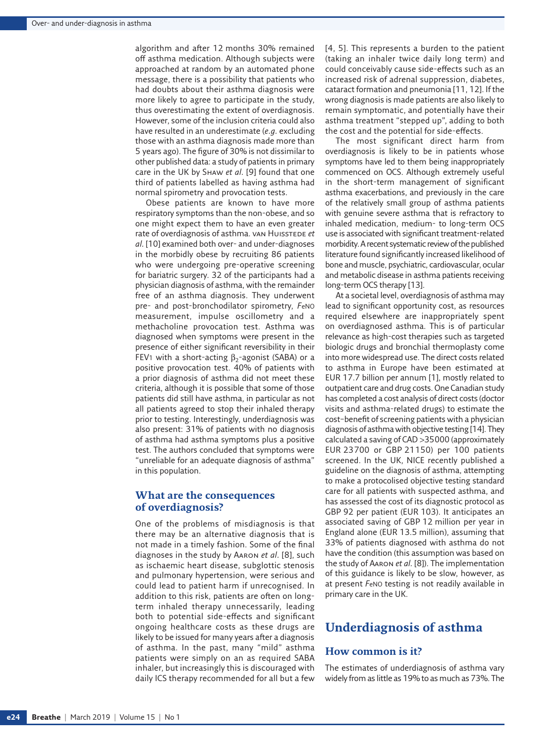algorithm and after 12 months 30% remained off asthma medication. Although subjects were approached at random by an automated phone message, there is a possibility that patients who had doubts about their asthma diagnosis were more likely to agree to participate in the study, thus overestimating the extent of overdiagnosis. However, some of the inclusion criteria could also have resulted in an underestimate (*e.g.* excluding those with an asthma diagnosis made more than 5 years ago). The figure of 30% is not dissimilar to other published data: a study of patients in primary care in the UK by Shaw *et al.* [9] found that one third of patients labelled as having asthma had normal spirometry and provocation tests.

Obese patients are known to have more respiratory symptoms than the non-obese, and so one might expect them to have an even greater rate of overdiagnosis of asthma. van Huisstede et *al.* [10] examined both over- and under-diagnoses in the morbidly obese by recruiting 86 patients who were undergoing pre-operative screening for bariatric surgery. 32 of the participants had a physician diagnosis of asthma, with the remainder free of an asthma diagnosis. They underwent pre- and post-bronchodilator spirometry, *F*eNO measurement, impulse oscillometry and a methacholine provocation test. Asthma was diagnosed when symptoms were present in the presence of either significant reversibility in their FEV<sub>1</sub> with a short-acting  $β_2$ -agonist (SABA) or a positive provocation test. 40% of patients with a prior diagnosis of asthma did not meet these criteria, although it is possible that some of those patients did still have asthma, in particular as not all patients agreed to stop their inhaled therapy prior to testing. Interestingly, underdiagnosis was also present: 31% of patients with no diagnosis of asthma had asthma symptoms plus a positive test. The authors concluded that symptoms were "unreliable for an adequate diagnosis of asthma" in this population.

## **What are the consequences of overdiagnosis?**

One of the problems of misdiagnosis is that there may be an alternative diagnosis that is not made in a timely fashion. Some of the final diagnoses in the study by Aaron *et al.* [8], such as ischaemic heart disease, subglottic stenosis and pulmonary hypertension, were serious and could lead to patient harm if unrecognised. In addition to this risk, patients are often on longterm inhaled therapy unnecessarily, leading both to potential side-effects and significant ongoing healthcare costs as these drugs are likely to be issued for many years after a diagnosis of asthma. In the past, many "mild" asthma patients were simply on an as required SABA inhaler, but increasingly this is discouraged with daily ICS therapy recommended for all but a few [4, 5]. This represents a burden to the patient (taking an inhaler twice daily long term) and could conceivably cause side-effects such as an increased risk of adrenal suppression, diabetes, cataract formation and pneumonia [11, 12]. If the wrong diagnosis is made patients are also likely to remain symptomatic, and potentially have their asthma treatment "stepped up", adding to both the cost and the potential for side-effects.

The most significant direct harm from overdiagnosis is likely to be in patients whose symptoms have led to them being inappropriately commenced on OCS. Although extremely useful in the short-term management of significant asthma exacerbations, and previously in the care of the relatively small group of asthma patients with genuine severe asthma that is refractory to inhaled medication, medium- to long-term OCS use is associated with significant treatment-related morbidity. A recent systematic review of the published literature found significantly increased likelihood of bone and muscle, psychiatric, cardiovascular, ocular and metabolic disease in asthma patients receiving long-term OCS therapy [13].

At a societal level, overdiagnosis of asthma may lead to significant opportunity cost, as resources required elsewhere are inappropriately spent on overdiagnosed asthma. This is of particular relevance as high-cost therapies such as targeted biologic drugs and bronchial thermoplasty come into more widespread use. The direct costs related to asthma in Europe have been estimated at EUR 17.7 billion per annum [1], mostly related to outpatient care and drug costs. One Canadian study has completed a cost analysis of direct costs (doctor visits and asthma-related drugs) to estimate the cost–benefit of screening patients with a physician diagnosis of asthma with objective testing [14]. They calculated a saving of CAD >35000 (approximately EUR 23700 or GBP 21150) per 100 patients screened. In the UK, NICE recently published a guideline on the diagnosis of asthma, attempting to make a protocolised objective testing standard care for all patients with suspected asthma, and has assessed the cost of its diagnostic protocol as GBP 92 per patient (EUR 103). It anticipates an associated saving of GBP 12 million per year in England alone (EUR 13.5 million), assuming that 33% of patients diagnosed with asthma do not have the condition (this assumption was based on the study of Aaron *et al.* [8]). The implementation of this guidance is likely to be slow, however, as at present *F*eNO testing is not readily available in primary care in the UK.

# **Underdiagnosis of asthma**

## **How common is it?**

The estimates of underdiagnosis of asthma vary widely from as little as 19% to as much as 73%. The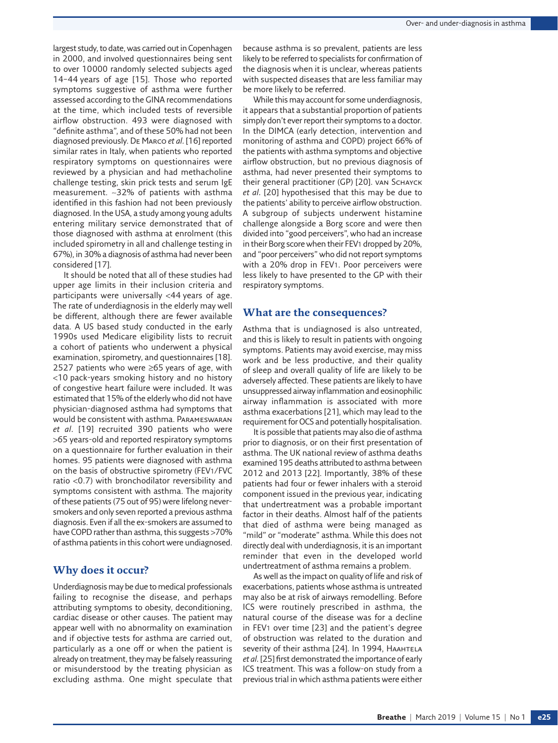largest study, to date, was carried out in Copenhagen in 2000, and involved questionnaires being sent to over 10000 randomly selected subjects aged 14–44 years of age [15]. Those who reported symptoms suggestive of asthma were further assessed according to the GINA recommendations at the time, which included tests of reversible airflow obstruction. 493 were diagnosed with "definite asthma", and of these 50% had not been diagnosed previously. De Marco *et al.* [16] reported similar rates in Italy, when patients who reported respiratory symptoms on questionnaires were reviewed by a physician and had methacholine challenge testing, skin prick tests and serum IgE measurement. ∼32% of patients with asthma identified in this fashion had not been previously diagnosed. In the USA, a study among young adults entering military service demonstrated that of those diagnosed with asthma at enrolment (this included spirometry in all and challenge testing in 67%), in 30% a diagnosis of asthma had never been considered [17].

It should be noted that all of these studies had upper age limits in their inclusion criteria and participants were universally <44 years of age. The rate of underdiagnosis in the elderly may well be different, although there are fewer available data. A US based study conducted in the early 1990s used Medicare eligibility lists to recruit a cohort of patients who underwent a physical examination, spirometry, and questionnaires [18]. 2527 patients who were ≥65 years of age, with <10 pack-years smoking history and no history of congestive heart failure were included. It was estimated that 15% of the elderly who did not have physician-diagnosed asthma had symptoms that would be consistent with asthma. Parameswaran *et al.* [19] recruited 390 patients who were >65 years-old and reported respiratory symptoms on a questionnaire for further evaluation in their homes. 95 patients were diagnosed with asthma on the basis of obstructive spirometry (FEV1/FVC ratio <0.7) with bronchodilator reversibility and symptoms consistent with asthma. The majority of these patients (75 out of 95) were lifelong neversmokers and only seven reported a previous asthma diagnosis. Even if all the ex-smokers are assumed to have COPD rather than asthma, this suggests >70% of asthma patients in this cohort were undiagnosed.

## **Why does it occur?**

Underdiagnosis may be due to medical professionals failing to recognise the disease, and perhaps attributing symptoms to obesity, deconditioning, cardiac disease or other causes. The patient may appear well with no abnormality on examination and if objective tests for asthma are carried out, particularly as a one off or when the patient is already on treatment, they may be falsely reassuring or misunderstood by the treating physician as excluding asthma. One might speculate that because asthma is so prevalent, patients are less likely to be referred to specialists for confirmation of the diagnosis when it is unclear, whereas patients with suspected diseases that are less familiar may be more likely to be referred.

While this may account for some underdiagnosis, it appears that a substantial proportion of patients simply don't ever report their symptoms to a doctor. In the DIMCA (early detection, intervention and monitoring of asthma and COPD) project 66% of the patients with asthma symptoms and objective airflow obstruction, but no previous diagnosis of asthma, had never presented their symptoms to their general practitioner (GP) [20]. van Sснауск *et al.* [20] hypothesised that this may be due to the patients' ability to perceive airflow obstruction. A subgroup of subjects underwent histamine challenge alongside a Borg score and were then divided into "good perceivers", who had an increase in their Borg score when their FEV1 dropped by 20%, and "poor perceivers" who did not report symptoms with a 20% drop in FEV1. Poor perceivers were less likely to have presented to the GP with their respiratory symptoms.

## **What are the consequences?**

Asthma that is undiagnosed is also untreated, and this is likely to result in patients with ongoing symptoms. Patients may avoid exercise, may miss work and be less productive, and their quality of sleep and overall quality of life are likely to be adversely affected. These patients are likely to have unsuppressed airway inflammation and eosinophilic airway inflammation is associated with more asthma exacerbations [21], which may lead to the requirement for OCS and potentially hospitalisation.

It is possible that patients may also die of asthma prior to diagnosis, or on their first presentation of asthma. The UK national review of asthma deaths examined 195 deaths attributed to asthma between 2012 and 2013 [22]. Importantly, 38% of these patients had four or fewer inhalers with a steroid component issued in the previous year, indicating that undertreatment was a probable important factor in their deaths. Almost half of the patients that died of asthma were being managed as "mild" or "moderate" asthma. While this does not directly deal with underdiagnosis, it is an important reminder that even in the developed world undertreatment of asthma remains a problem.

As well as the impact on quality of life and risk of exacerbations, patients whose asthma is untreated may also be at risk of airways remodelling. Before ICS were routinely prescribed in asthma, the natural course of the disease was for a decline in FEV1 over time [23] and the patient's degree of obstruction was related to the duration and severity of their asthma [24]. In 1994, HAAHTELA *et al.* [25] first demonstrated the importance of early ICS treatment. This was a follow-on study from a previous trial in which asthma patients were either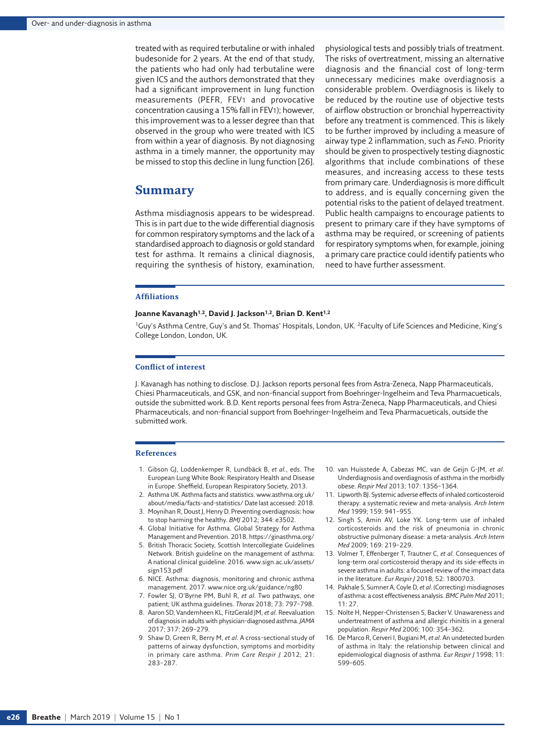treated with as required terbutaline or with inhaled budesonide for 2 years. At the end of that study, the patients who had only had terbutaline were given ICS and the authors demonstrated that they had a significant improvement in lung function measurements (PEFR, FEV1 and provocative concentration causing a 15% fall in FEV1); however, this improvement was to a lesser degree than that observed in the group who were treated with ICS from within a year of diagnosis. By not diagnosing asthma in a timely manner, the opportunity may be missed to stop this decline in lung function [26].

### **Summary**

Asthma misdiagnosis appears to be widespread. This is in part due to the wide differential diagnosis for common respiratory symptoms and the lack of a standardised approach to diagnosis or gold standard test for asthma. It remains a clinical diagnosis, requiring the synthesis of history, examination, physiological tests and possibly trials of treatment. The risks of overtreatment, missing an alternative diagnosis and the financial cost of long-term unnecessary medicines make overdiagnosis a considerable problem. Overdiagnosis is likely to be reduced by the routine use of objective tests of airflow obstruction or bronchial hyperreactivity before any treatment is commenced. This is likely to be further improved by including a measure of airway type 2 inflammation, such as *F*eNO. Priority should be given to prospectively testing diagnostic algorithms that include combinations of these measures, and increasing access to these tests from primary care. Underdiagnosis is more difficult to address, and is equally concerning given the potential risks to the patient of delayed treatment. Public health campaigns to encourage patients to present to primary care if they have symptoms of asthma may be required, or screening of patients for respiratory symptoms when, for example, joining a primary care practice could identify patients who need to have further assessment.

#### **Affiliations**

#### **Joanne Kavanagh1,2, David J. Jackson1,2, Brian D. Kent1,2**

1Guy's Asthma Centre, Guy's and St. Thomas' Hospitals, London, UK. 2Faculty of Life Sciences and Medicine, King's College London, London, UK.

#### **Conflict of interest**

J. Kavanagh has nothing to disclose. D.J. Jackson reports personal fees from Astra-Zeneca, Napp Pharmaceuticals, Chiesi Pharmaceuticals, and GSK, and non-financial support from Boehringer-Ingelheim and Teva Pharmacueticals, outside the submitted work. B.D. Kent reports personal fees from Astra-Zeneca, Napp Pharmaceuticals, and Chiesi Pharmaceuticals, and non-financial support from Boehringer-Ingelheim and Teva Pharmacueticals, outside the submitted work.

#### **References**

- 1. Gibson GJ, Loddenkemper R, Lundbäck B, *et al.*, eds. The European Lung White Book: Respiratory Health and Disease in Europe. Sheffield, European Respiratory Society, 2013.
- 2. Asthma UK. Asthma facts and statistics. [www.asthma.org.uk/](www.asthma.org.uk/about/media/facts-and-statistics/) [about/media/facts-and-statistics/](www.asthma.org.uk/about/media/facts-and-statistics/) Date last accessed: 2018.
- 3. Moynihan R, Doust J, Henry D. Preventing overdiagnosis: how to stop harming the healthy. *BMJ* 2012; 344: e3502.
- 4. Global Initiative for Asthma. Global Strategy for Asthma Management and Prevention. 2018.<https://ginasthma.org/>
- 5. British Thoracic Society, Scottish Intercollegiate Guidelines Network. British guideline on the management of asthma: A national clinical guideline. 2016. [www.sign.ac.uk/assets/](www.sign.ac.uk/assets/sign153.pdf) [sign153.pdf](www.sign.ac.uk/assets/sign153.pdf)
- 6. NICE. Asthma: diagnosis, monitoring and chronic asthma management. 2017.<www.nice.org.uk/guidance/ng80>
- 7. Fowler SJ, O'Byrne PM, Buhl R, *et al.* Two pathways, one patient; UK asthma guidelines. *Thorax* 2018; 73: 797–798.
- 8. Aaron SD, Vandemheen KL, FitzGerald JM, *et al.* Reevaluation of diagnosis in adults with physician-diagnosed asthma. *JAMA* 2017; 317: 269–279.
- 9. Shaw D, Green R, Berry M, *et al.* A cross-sectional study of patterns of airway dysfunction, symptoms and morbidity in primary care asthma. *Prim Care Respir J* 2012; 21: 283–287.
- 10. van Huisstede A, Cabezas MC, van de Geijn G-JM, *et al.* Underdiagnosis and overdiagnosis of asthma in the morbidly obese. *Respir Med* 2013; 107: 1356–1364.
- 11. Lipworth BJ. Systemic adverse effects of inhaled corticosteroid therapy: a systematic review and meta-analysis. *Arch Intern Med* 1999; 159: 941–955.
- 12. Singh S, Amin AV, Loke YK. Long-term use of inhaled corticosteroids and the risk of pneumonia in chronic obstructive pulmonary disease: a meta-analysis. *Arch Intern Med* 2009; 169: 219–229.
- 13. Volmer T, Effenberger T, Trautner C, *et al.* Consequences of long-term oral corticosteroid therapy and its side-effects in severe asthma in adults: a focused review of the impact data in the literature. *Eur Respir J* 2018; 52: 1800703.
- 14. Pakhale S, Sumner A, Coyle D, *et al.* (Correcting) misdiagnoses of asthma: a cost effectiveness analysis. *BMC Pulm Med* 2011; 11: 27.
- 15. Nolte H, Nepper-Christensen S, Backer V. Unawareness and undertreatment of asthma and allergic rhinitis in a general population. *Respir Med* 2006; 100: 354–362.
- 16. De Marco R, Cerveri I, Bugiani M, *et al.* An undetected burden of asthma in Italy: the relationship between clinical and epidemiological diagnosis of asthma. *Eur Respir J* 1998; 11: 599–605.